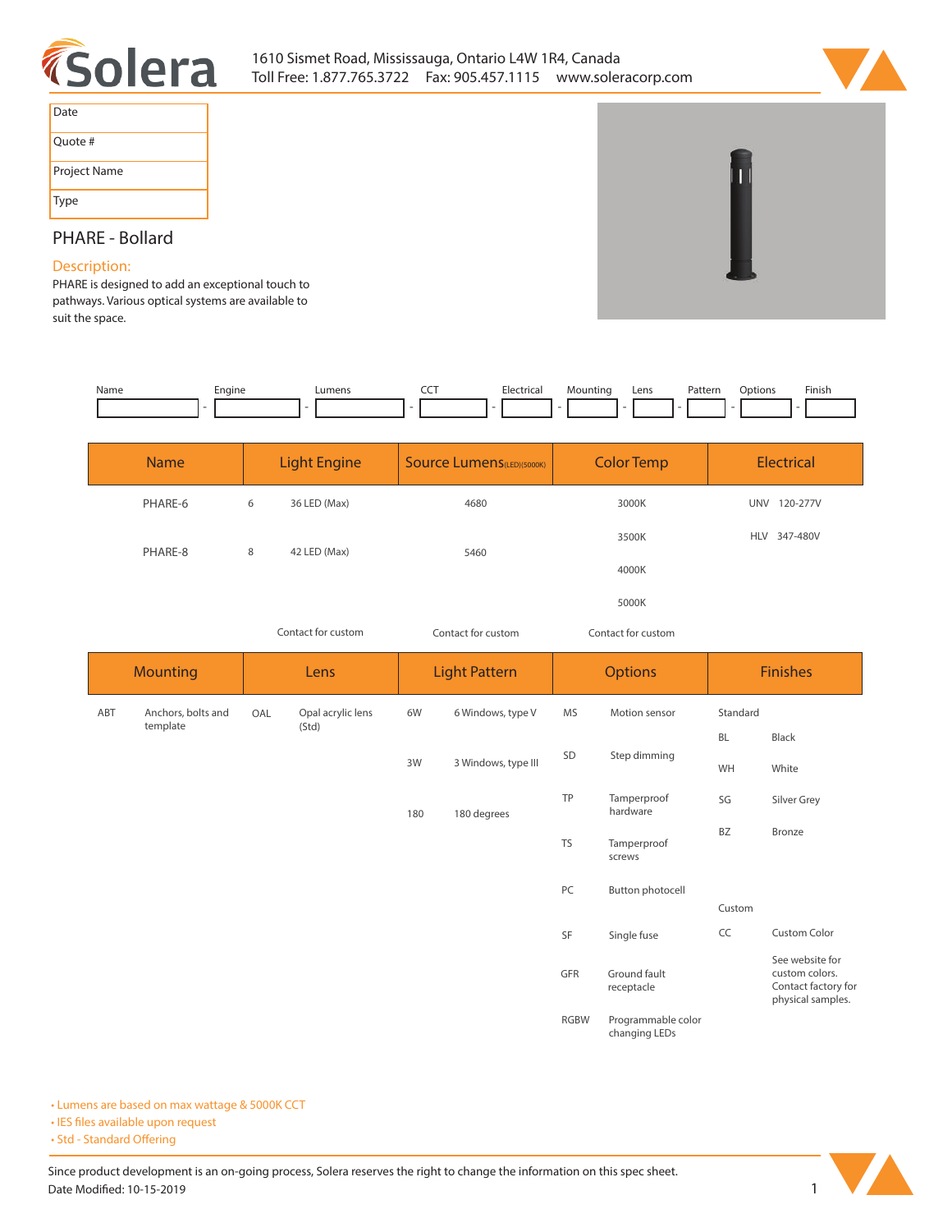



| Date         |
|--------------|
| Quote #      |
| Project Name |
| <b>Type</b>  |

# **PHARE - Bollard**

## **Description:**

**PHARE is designed to add an exceptional touch to pathways. Various optical systems are available to suit the space.** 

| Name | Engine | Lumens | --- | Electrical | Iountina | Lens | Patterr<br>. | Infinns | Finish |
|------|--------|--------|-----|------------|----------|------|--------------|---------|--------|
|      |        |        |     |            |          |      |              |         |        |

| <b>Name</b> | <b>Light Engine</b> |              | Source Lumens(LED)(5000K) | <b>Color Temp</b> | <b>Electrical</b>      |
|-------------|---------------------|--------------|---------------------------|-------------------|------------------------|
| PHARE-6     | 6                   | 36 LED (Max) | 4680                      | 3000K             | 120-277V<br><b>UNV</b> |
| PHARE-8     | 8                   | 42 LED (Max) | 5460                      | 3500K             | HLV 347-480V           |
|             |                     |              |                           | 4000K             |                        |
|             |                     |              |                           | 5000K             |                        |

*Contact for custom Contact for custom*

*Contact for custom*

|     | <b>Mounting</b>    |     | Lens              |     | <b>Light Pattern</b> |             | <b>Options</b>                      | <b>Finishes</b> |                                                                               |  |  |  |
|-----|--------------------|-----|-------------------|-----|----------------------|-------------|-------------------------------------|-----------------|-------------------------------------------------------------------------------|--|--|--|
| ABT | Anchors, bolts and | OAL | Opal acrylic lens | 6W  | 6 Windows, type V    | <b>MS</b>   | Motion sensor                       | Standard        |                                                                               |  |  |  |
|     | template           |     | (Std)             |     |                      |             |                                     | BL              | Black                                                                         |  |  |  |
|     |                    |     |                   | 3W  | 3 Windows, type III  | SD          | Step dimming                        | WH              | White                                                                         |  |  |  |
|     |                    |     |                   | 180 | 180 degrees          | TP          | Tamperproof<br>hardware             | SG              | Silver Grey                                                                   |  |  |  |
|     |                    |     |                   |     |                      | <b>TS</b>   | Tamperproof<br>screws               | BZ              | Bronze                                                                        |  |  |  |
|     |                    |     |                   |     |                      | PC          | Button photocell                    |                 |                                                                               |  |  |  |
|     |                    |     |                   |     |                      |             |                                     | Custom          |                                                                               |  |  |  |
|     |                    |     |                   |     |                      | SF          | Single fuse                         | CC              | Custom Color                                                                  |  |  |  |
|     |                    |     |                   |     |                      | GFR         | Ground fault<br>receptacle          |                 | See website for<br>custom colors.<br>Contact factory for<br>physical samples. |  |  |  |
|     |                    |     |                   |     |                      | <b>RGBW</b> | Programmable color<br>changing LEDs |                 |                                                                               |  |  |  |

**• Lumens are based on max wattage & 5000K CCT**

**• IES files available upon request** 

• Std - Standard Offering

Since product development is an on-going process, Solera reserves the right to change the information on this spec sheet. **Date Modified: 10-15-2019** 1